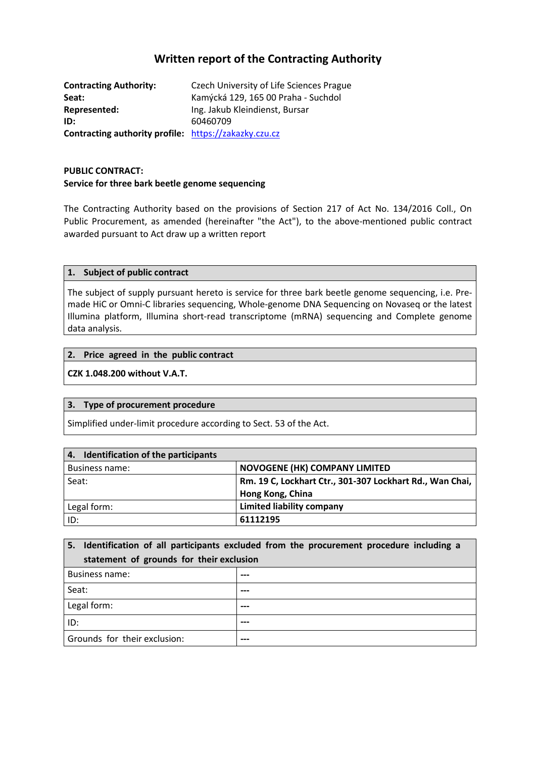# **Written report of the Contracting Authority**

**Contracting Authority:** Czech University of Life Sciences Prague **Seat:** Kamýcká 129, 165 00 Praha - Suchdol **Represented:** Ing. Jakub Kleindienst, Bursar **ID:** 60460709 **Contracting authority profile:** [https://zakazky.czu.cz](https://zakazky.czu.cz/)

### **PUBLIC CONTRACT: Service for three bark beetle genome sequencing**

The Contracting Authority based on the provisions of Section 217 of Act No. 134/2016 Coll., On Public Procurement, as amended (hereinafter "the Act"), to the above-mentioned public contract awarded pursuant to Act draw up a written report

#### **1. Subject of public contract**

The subject of supply pursuant hereto is service for three bark beetle genome sequencing, i.e. Premade HiC or Omni-C libraries sequencing, Whole-genome DNA Sequencing on Novaseq or the latest Illumina platform, Illumina short-read transcriptome (mRNA) sequencing and Complete genome data analysis.

#### **2. Price agreed in the public contract**

#### **CZK 1.048.200 without V.A.T.**

### **3. Type of procurement procedure**

Simplified under-limit procedure according to Sect. 53 of the Act.

| 4. Identification of the participants |                                                          |
|---------------------------------------|----------------------------------------------------------|
| Business name:                        | <b>NOVOGENE (HK) COMPANY LIMITED</b>                     |
| Seat:                                 | Rm. 19 C, Lockhart Ctr., 301-307 Lockhart Rd., Wan Chai, |
|                                       | Hong Kong, China                                         |
| Legal form:                           | <b>Limited liability company</b>                         |
| ID:                                   | 61112195                                                 |

|                                          | 5. Identification of all participants excluded from the procurement procedure including a |  |
|------------------------------------------|-------------------------------------------------------------------------------------------|--|
| statement of grounds for their exclusion |                                                                                           |  |
| <b>Business name:</b>                    |                                                                                           |  |
| Seat:                                    |                                                                                           |  |
| Legal form:                              |                                                                                           |  |
| ID:                                      | ---                                                                                       |  |
| Grounds for their exclusion:             |                                                                                           |  |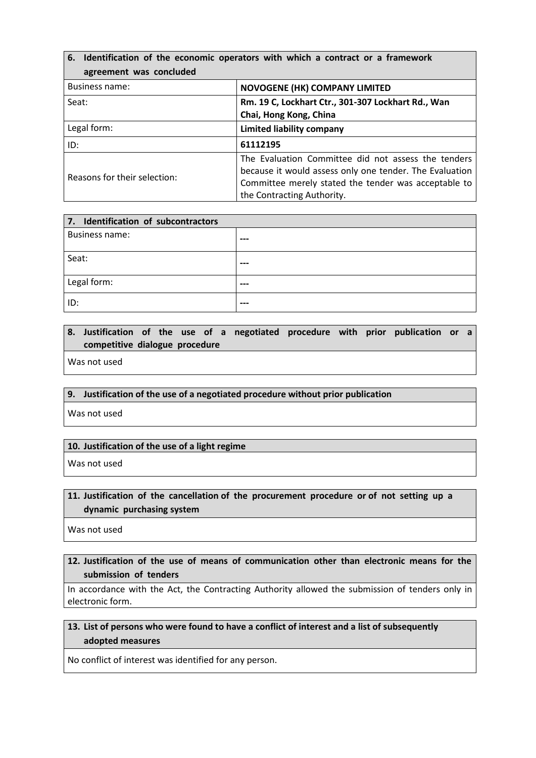| 6. Identification of the economic operators with which a contract or a framework |                                                         |
|----------------------------------------------------------------------------------|---------------------------------------------------------|
| agreement was concluded                                                          |                                                         |
| <b>Business name:</b>                                                            | <b>NOVOGENE (HK) COMPANY LIMITED</b>                    |
| Seat:                                                                            | Rm. 19 C, Lockhart Ctr., 301-307 Lockhart Rd., Wan      |
|                                                                                  | Chai, Hong Kong, China                                  |
| Legal form:                                                                      | <b>Limited liability company</b>                        |
| ID:                                                                              | 61112195                                                |
| Reasons for their selection:                                                     | The Evaluation Committee did not assess the tenders     |
|                                                                                  | because it would assess only one tender. The Evaluation |
|                                                                                  | Committee merely stated the tender was acceptable to    |
|                                                                                  | the Contracting Authority.                              |

| 7. Identification of subcontractors |     |
|-------------------------------------|-----|
| <b>Business name:</b>               | --- |
| Seat:                               | --- |
| Legal form:                         | --- |
| ID:                                 | --- |

## **8. Justification of the use of a negotiated procedure with prior publication or a competitive dialogue procedure**

Was not used

#### **9. Justification of the use of a negotiated procedure without prior publication**

Was not used

#### **10. Justification of the use of a light regime**

Was not used

## **11. Justification of the cancellation of the procurement procedure or of not setting up a dynamic purchasing system**

Was not used

# **12. Justification of the use of means of communication other than electronic means for the submission of tenders**

In accordance with the Act, the Contracting Authority allowed the submission of tenders only in electronic form.

# **13. List of persons who were found to have a conflict of interest and a list of subsequently adopted measures**

No conflict of interest was identified for any person.